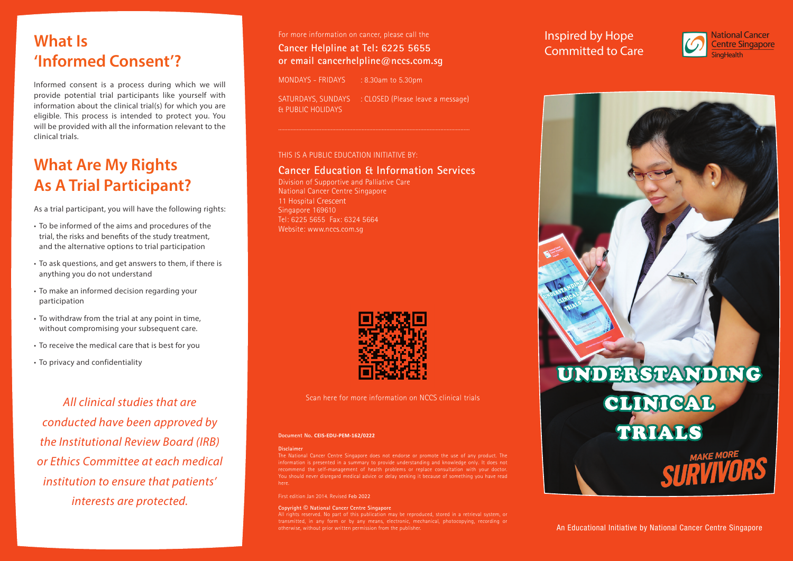# **What Is 'Informed Consent'?**

Informed consent is a process during which we will provide potential trial participants like yourself with information about the clinical trial(s) for which you are eligible. This process is intended to protect you. You will be provided with all the information relevant to the clinical trials.

# **What Are My Rights As A Trial Participant?**

As a trial participant, you will have the following rights:

- To be informed of the aims and procedures of the trial, the risks and benefits of the study treatment, and the alternative options to trial participation
- To ask questions, and get answers to them, if there is anything you do not understand
- To make an informed decision regarding your participation
- To withdraw from the trial at any point in time, without compromising your subsequent care.
- To receive the medical care that is best for you
- To privacy and confidentiality

*All clinical studies that are conducted have been approved by the Institutional Review Board (IRB) or Ethics Committee at each medical institution to ensure that patients' interests are protected.*

For more information on cancer, please call the **Cancer Helpline at Tel: 6225 5655 or email cancerhelpline@nccs.com.sg**

MONDAYS - FRIDAYS : 8.30am to 5.30pm SATURDAYS, SUNDAYS : CLOSED (Please leave a message) & PUBLIC HOLIDAYS

### THIS IS A PUBLIC EDUCATION INITIATIVE BY:

### **Cancer Education & Information Services**

Division of Supportive and Palliative Care National Cancer Centre Singapore 11 Hospital Crescent Singapore 169610 Tel: 6225 5655 Fax: 6324 5664 Website: www.nccs.com.sg



Scan here for more information on NCCS clinical trials

#### **Document No. CEIS-EDU-PEM-162/0222**

#### **Disclaimer**

The National Cancer Centre Singapore does not endorse or promote the use of any product. The information is presented in a summary to provide understanding and knowledge only. It does not recommend the self-management of health problems or replace consultation with your doctor.

First edition Jan 2014. Revised Feb 2022

#### **Copyright © National Cancer Centre Singapore**

transmitted, in any form or by any means, electronic, mechanical, photocopying, recording or otherwise, without prior written permission from the publisher.

## Inspired by Hope Committed to Care